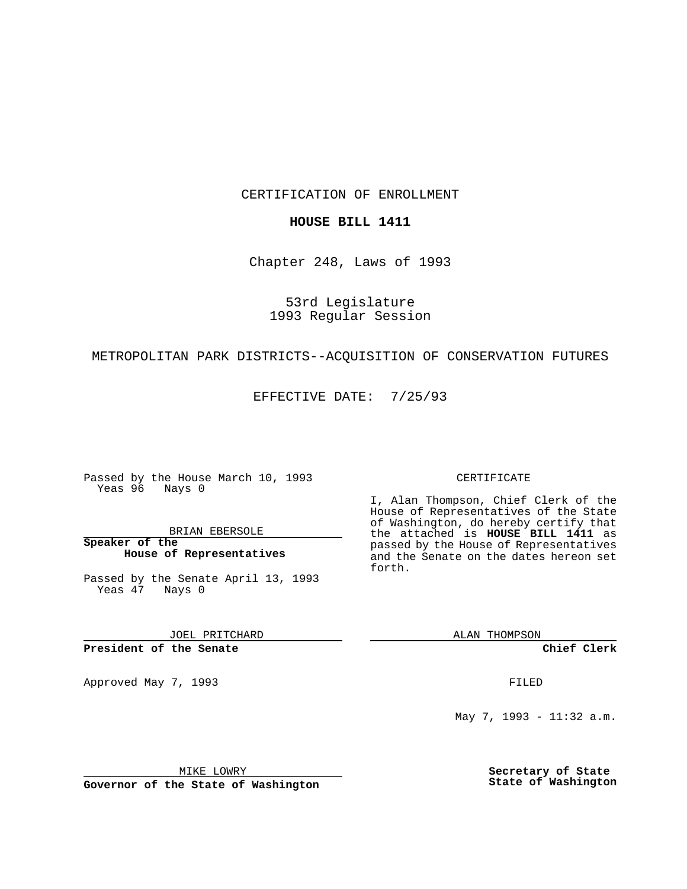CERTIFICATION OF ENROLLMENT

### **HOUSE BILL 1411**

Chapter 248, Laws of 1993

53rd Legislature 1993 Regular Session

#### METROPOLITAN PARK DISTRICTS--ACQUISITION OF CONSERVATION FUTURES

EFFECTIVE DATE: 7/25/93

Passed by the House March 10, 1993 Yeas 96 Nays 0

BRIAN EBERSOLE

**Speaker of the House of Representatives**

Passed by the Senate April 13, 1993 Yeas 47 Nays 0

JOEL PRITCHARD

**President of the Senate**

Approved May 7, 1993 **FILED** 

### CERTIFICATE

I, Alan Thompson, Chief Clerk of the House of Representatives of the State of Washington, do hereby certify that the attached is **HOUSE BILL 1411** as passed by the House of Representatives and the Senate on the dates hereon set forth.

ALAN THOMPSON

**Chief Clerk**

May 7, 1993 - 11:32 a.m.

MIKE LOWRY

**Governor of the State of Washington**

**Secretary of State State of Washington**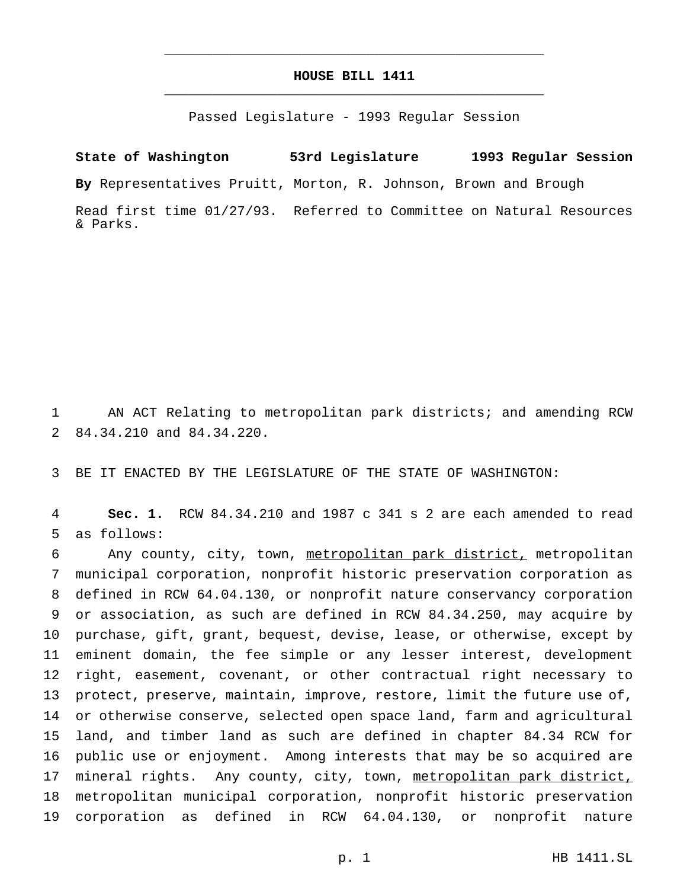## **HOUSE BILL 1411** \_\_\_\_\_\_\_\_\_\_\_\_\_\_\_\_\_\_\_\_\_\_\_\_\_\_\_\_\_\_\_\_\_\_\_\_\_\_\_\_\_\_\_\_\_\_\_

\_\_\_\_\_\_\_\_\_\_\_\_\_\_\_\_\_\_\_\_\_\_\_\_\_\_\_\_\_\_\_\_\_\_\_\_\_\_\_\_\_\_\_\_\_\_\_

Passed Legislature - 1993 Regular Session

# **State of Washington 53rd Legislature 1993 Regular Session**

**By** Representatives Pruitt, Morton, R. Johnson, Brown and Brough

Read first time 01/27/93. Referred to Committee on Natural Resources & Parks.

 AN ACT Relating to metropolitan park districts; and amending RCW 84.34.210 and 84.34.220.

BE IT ENACTED BY THE LEGISLATURE OF THE STATE OF WASHINGTON:

 **Sec. 1.** RCW 84.34.210 and 1987 c 341 s 2 are each amended to read as follows:

 Any county, city, town, metropolitan park district, metropolitan municipal corporation, nonprofit historic preservation corporation as defined in RCW 64.04.130, or nonprofit nature conservancy corporation or association, as such are defined in RCW 84.34.250, may acquire by purchase, gift, grant, bequest, devise, lease, or otherwise, except by eminent domain, the fee simple or any lesser interest, development right, easement, covenant, or other contractual right necessary to protect, preserve, maintain, improve, restore, limit the future use of, or otherwise conserve, selected open space land, farm and agricultural land, and timber land as such are defined in chapter 84.34 RCW for public use or enjoyment. Among interests that may be so acquired are 17 mineral rights. Any county, city, town, metropolitan park district, metropolitan municipal corporation, nonprofit historic preservation corporation as defined in RCW 64.04.130, or nonprofit nature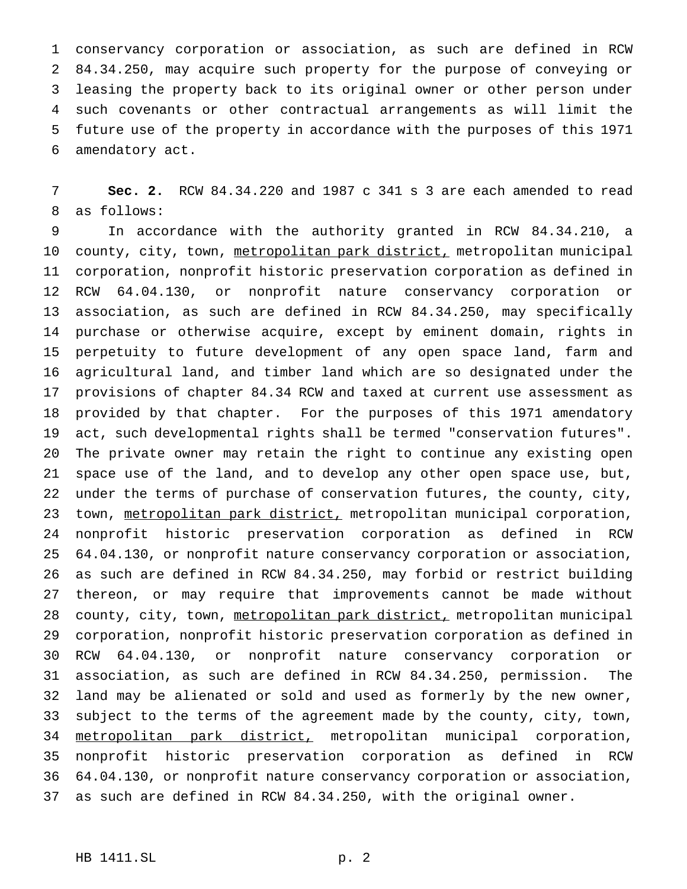conservancy corporation or association, as such are defined in RCW 84.34.250, may acquire such property for the purpose of conveying or leasing the property back to its original owner or other person under such covenants or other contractual arrangements as will limit the future use of the property in accordance with the purposes of this 1971 amendatory act.

 **Sec. 2.** RCW 84.34.220 and 1987 c 341 s 3 are each amended to read as follows:

 In accordance with the authority granted in RCW 84.34.210, a 10 county, city, town, metropolitan park district, metropolitan municipal corporation, nonprofit historic preservation corporation as defined in RCW 64.04.130, or nonprofit nature conservancy corporation or association, as such are defined in RCW 84.34.250, may specifically purchase or otherwise acquire, except by eminent domain, rights in perpetuity to future development of any open space land, farm and agricultural land, and timber land which are so designated under the provisions of chapter 84.34 RCW and taxed at current use assessment as provided by that chapter. For the purposes of this 1971 amendatory act, such developmental rights shall be termed "conservation futures". The private owner may retain the right to continue any existing open space use of the land, and to develop any other open space use, but, under the terms of purchase of conservation futures, the county, city, 23 town, metropolitan park district, metropolitan municipal corporation, nonprofit historic preservation corporation as defined in RCW 64.04.130, or nonprofit nature conservancy corporation or association, as such are defined in RCW 84.34.250, may forbid or restrict building thereon, or may require that improvements cannot be made without 28 county, city, town, metropolitan park district, metropolitan municipal corporation, nonprofit historic preservation corporation as defined in RCW 64.04.130, or nonprofit nature conservancy corporation or association, as such are defined in RCW 84.34.250, permission. The land may be alienated or sold and used as formerly by the new owner, subject to the terms of the agreement made by the county, city, town, metropolitan park district, metropolitan municipal corporation, nonprofit historic preservation corporation as defined in RCW 64.04.130, or nonprofit nature conservancy corporation or association, as such are defined in RCW 84.34.250, with the original owner.